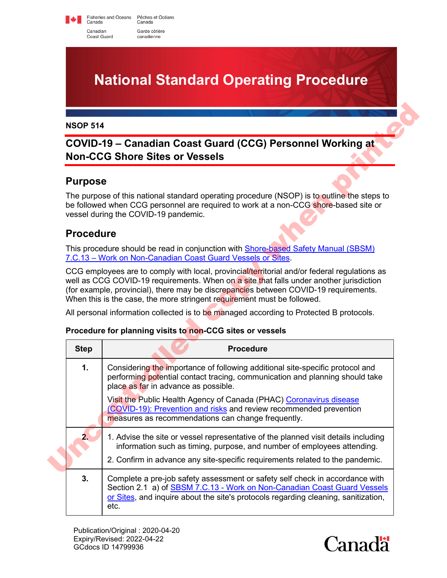Fisheries and Oceans Pêches et Océans<br>Canada Canada Canadian Garde côtière Coast Guard canadienne

## **National Standard Operating Procedure**

## **COVID-19 – Canadian Coast Guard (CCG) Personnel Working at Non-CCG Shore Sites or Vessels**

## **Purpose**

## **Procedure**

#### **Procedure for planning visits to non-CCG sites or vessels**

| COVID-19 – Canadian Coast Guard (CCG) Personnel Working at<br><b>Non-CCG Shore Sites or Vessels</b> |                                                                                                                                                                                                                                                                                 |
|-----------------------------------------------------------------------------------------------------|---------------------------------------------------------------------------------------------------------------------------------------------------------------------------------------------------------------------------------------------------------------------------------|
| <b>Purpose</b>                                                                                      |                                                                                                                                                                                                                                                                                 |
|                                                                                                     | The purpose of this national standard operating procedure (NSOP) is to outline the steps to<br>be followed when CCG personnel are required to work at a non-CCG shore-based site or<br>vessel during the COVID-19 pandemic.                                                     |
| <b>Procedure</b>                                                                                    |                                                                                                                                                                                                                                                                                 |
|                                                                                                     | This procedure should be read in conjunction with Shore-based Safety Manual (SBSM)<br>7.C.13 - Work on Non-Canadian Coast Guard Vessels or Sites.                                                                                                                               |
|                                                                                                     | CCG employees are to comply with local, provincial/territorial and/or federal regulations as<br>well as CCG COVID-19 requirements. When on a site that falls under another jurisdiction<br>(for example, provincial), there may be discrepancies between COVID-19 requirements. |
|                                                                                                     | When this is the case, the more stringent requirement must be followed.                                                                                                                                                                                                         |
|                                                                                                     | All personal information collected is to be managed according to Protected B protocols.<br>Procedure for planning visits to non-CCG sites or vessels                                                                                                                            |
| <b>Step</b>                                                                                         | <b>Procedure</b>                                                                                                                                                                                                                                                                |
| 1.                                                                                                  | Considering the importance of following additional site-specific protocol and<br>performing potential contact tracing, communication and planning should take<br>place as far in advance as possible.                                                                           |
|                                                                                                     | Visit the Public Health Agency of Canada (PHAC) Coronavirus disease<br>(COVID-19): Prevention and risks and review recommended prevention<br>measures as recommendations can change frequently.                                                                                 |
| 2.                                                                                                  | 1. Advise the site or vessel representative of the planned visit details including<br>information such as timing, purpose, and number of employees attending.<br>2. Confirm in advance any site-specific requirements related to the pandemic.                                  |

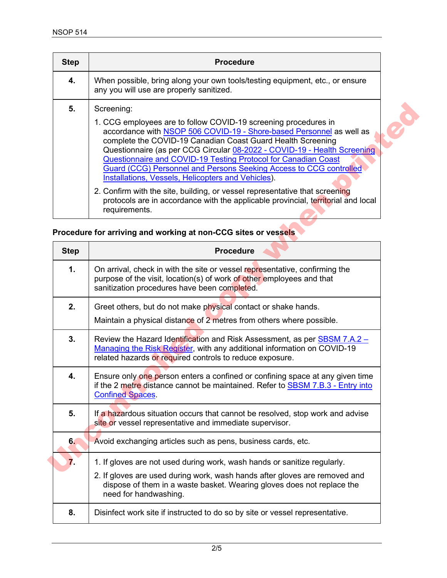| <b>Step</b> | <b>Procedure</b>                                                                                                                                                                                                                                                                                                                                                                                                                                                                 |
|-------------|----------------------------------------------------------------------------------------------------------------------------------------------------------------------------------------------------------------------------------------------------------------------------------------------------------------------------------------------------------------------------------------------------------------------------------------------------------------------------------|
| 4.          | When possible, bring along your own tools/testing equipment, etc., or ensure<br>any you will use are properly sanitized.                                                                                                                                                                                                                                                                                                                                                         |
| 5.          | Screening:                                                                                                                                                                                                                                                                                                                                                                                                                                                                       |
|             | 1. CCG employees are to follow COVID-19 screening procedures in<br>accordance with NSOP 506 COVID-19 - Shore-based Personnel as well as<br>complete the COVID-19 Canadian Coast Guard Health Screening<br>Questionnaire (as per CCG Circular 08-2022 - COVID-19 - Health Screening<br>Questionnaire and COVID-19 Testing Protocol for Canadian Coast<br>Guard (CCG) Personnel and Persons Seeking Access to CCG controlled<br>Installations, Vessels, Helicopters and Vehicles). |
|             | 2. Confirm with the site, building, or vessel representative that screening<br>protocols are in accordance with the applicable provincial, territorial and local<br>requirements.                                                                                                                                                                                                                                                                                                |

#### **Procedure for arriving and working at non-CCG sites or vessels**

| 5.          | Screening:                                                                                                                                                                                                                                                                                                                                                                                                                                                                                                                                                                                                                                                  |
|-------------|-------------------------------------------------------------------------------------------------------------------------------------------------------------------------------------------------------------------------------------------------------------------------------------------------------------------------------------------------------------------------------------------------------------------------------------------------------------------------------------------------------------------------------------------------------------------------------------------------------------------------------------------------------------|
|             | 1. CCG employees are to follow COVID-19 screening procedures in<br>accordance with NSOP 506 COVID-19 - Shore-based Personnel as well as<br>complete the COVID-19 Canadian Coast Guard Health Screening<br>Questionnaire (as per CCG Circular 08-2022 - COVID-19 - Health Screening<br>Questionnaire and COVID-19 Testing Protocol for Canadian Coast<br>Guard (CCG) Personnel and Persons Seeking Access to CCG controlled<br><b>Installations, Vessels, Helicopters and Vehicles).</b><br>2. Confirm with the site, building, or vessel representative that screening<br>protocols are in accordance with the applicable provincial, territorial and local |
|             | requirements.                                                                                                                                                                                                                                                                                                                                                                                                                                                                                                                                                                                                                                               |
|             | Procedure for arriving and working at non-CCG sites or vessels                                                                                                                                                                                                                                                                                                                                                                                                                                                                                                                                                                                              |
| <b>Step</b> | <b>Procedure</b>                                                                                                                                                                                                                                                                                                                                                                                                                                                                                                                                                                                                                                            |
| 1.          | On arrival, check in with the site or vessel representative, confirming the<br>purpose of the visit, location(s) of work of other employees and that<br>sanitization procedures have been completed.                                                                                                                                                                                                                                                                                                                                                                                                                                                        |
| 2.          | Greet others, but do not make physical contact or shake hands.                                                                                                                                                                                                                                                                                                                                                                                                                                                                                                                                                                                              |
|             | Maintain a physical distance of 2 metres from others where possible.                                                                                                                                                                                                                                                                                                                                                                                                                                                                                                                                                                                        |
| 3.          | Review the Hazard Identification and Risk Assessment, as per SBSM 7.A.2 -<br>Managing the Risk Register, with any additional information on COVID-19<br>related hazards or required controls to reduce exposure.                                                                                                                                                                                                                                                                                                                                                                                                                                            |
| 4.          | Ensure only one person enters a confined or confining space at any given time<br>if the 2 metre distance cannot be maintained. Refer to <b>SBSM 7.B.3 - Entry into</b><br><b>Confined Spaces</b>                                                                                                                                                                                                                                                                                                                                                                                                                                                            |
| 5.          | If a hazardous situation occurs that cannot be resolved, stop work and advise<br>site or vessel representative and immediate supervisor.                                                                                                                                                                                                                                                                                                                                                                                                                                                                                                                    |
| 6.          | Avoid exchanging articles such as pens, business cards, etc.                                                                                                                                                                                                                                                                                                                                                                                                                                                                                                                                                                                                |
| 7.          | 1. If gloves are not used during work, wash hands or sanitize regularly.                                                                                                                                                                                                                                                                                                                                                                                                                                                                                                                                                                                    |
|             | 2. If gloves are used during work, wash hands after gloves are removed and<br>dispose of them in a waste basket. Wearing gloves does not replace the<br>need for handwashing.                                                                                                                                                                                                                                                                                                                                                                                                                                                                               |
| 8.          | Disinfect work site if instructed to do so by site or vessel representative.                                                                                                                                                                                                                                                                                                                                                                                                                                                                                                                                                                                |
|             |                                                                                                                                                                                                                                                                                                                                                                                                                                                                                                                                                                                                                                                             |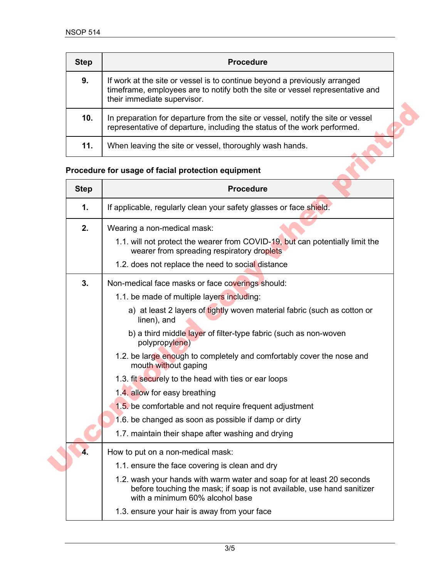| <b>Step</b> | <b>Procedure</b>                                                                                                                                                                          |
|-------------|-------------------------------------------------------------------------------------------------------------------------------------------------------------------------------------------|
| 9.          | If work at the site or vessel is to continue beyond a previously arranged<br>timeframe, employees are to notify both the site or vessel representative and<br>their immediate supervisor. |
| 10.         | In preparation for departure from the site or vessel, notify the site or vessel<br>representative of departure, including the status of the work performed.                               |
| 11.         | When leaving the site or vessel, thoroughly wash hands.                                                                                                                                   |

# **Procedure for usage of facial protection equipment**

| 10.         | In preparation for departure from the site or vessel, notify the site or vessel<br>representative of departure, including the status of the work performed. |
|-------------|-------------------------------------------------------------------------------------------------------------------------------------------------------------|
| 11.         | When leaving the site or vessel, thoroughly wash hands.                                                                                                     |
|             | Procedure for usage of facial protection equipment                                                                                                          |
| <b>Step</b> | <b>Procedure</b>                                                                                                                                            |
| 1.          | If applicable, regularly clean your safety glasses or face shield.                                                                                          |
| 2.          | Wearing a non-medical mask:                                                                                                                                 |
|             | 1.1. will not protect the wearer from COVID-19, but can potentially limit the<br>wearer from spreading respiratory droplets                                 |
|             | 1.2. does not replace the need to social distance                                                                                                           |
| 3.          | Non-medical face masks or face coverings should:                                                                                                            |
|             | 1.1. be made of multiple layers including:                                                                                                                  |
|             | a) at least 2 layers of tightly woven material fabric (such as cotton or<br>linen), and                                                                     |
|             | b) a third middle layer of filter-type fabric (such as non-woven<br>polypropylene)                                                                          |
|             | 1.2. be large enough to completely and comfortably cover the nose and<br>mouth without gaping                                                               |
|             | 1.3. fit securely to the head with ties or ear loops                                                                                                        |
|             | 1.4. allow for easy breathing                                                                                                                               |
|             | 1.5. be comfortable and not require frequent adjustment                                                                                                     |
|             | 1.6. be changed as soon as possible if damp or dirty                                                                                                        |
|             | 1.7. maintain their shape after washing and drying                                                                                                          |
| 4.          | How to put on a non-medical mask:                                                                                                                           |
|             | 1.1. ensure the face covering is clean and dry                                                                                                              |
|             | 1.2. wash your hands with warm water and soap for at least 20 seconds<br>before touching the mask; if soap is not available, use hand sanitizer             |
|             | with a minimum 60% alcohol base                                                                                                                             |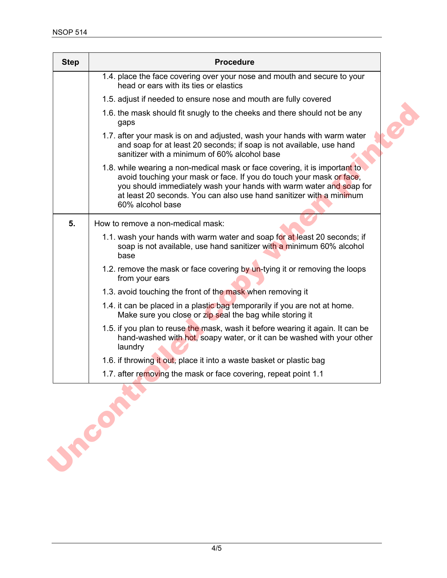| <b>Step</b> | <b>Procedure</b>                                                                                                                                                                                                                                                                                                     |
|-------------|----------------------------------------------------------------------------------------------------------------------------------------------------------------------------------------------------------------------------------------------------------------------------------------------------------------------|
|             | 1.4. place the face covering over your nose and mouth and secure to your<br>head or ears with its ties or elastics                                                                                                                                                                                                   |
|             | 1.5. adjust if needed to ensure nose and mouth are fully covered                                                                                                                                                                                                                                                     |
|             | 1.6. the mask should fit snugly to the cheeks and there should not be any<br>gaps                                                                                                                                                                                                                                    |
|             | 1.7. after your mask is on and adjusted, wash your hands with warm water<br>and soap for at least 20 seconds; if soap is not available, use hand<br>sanitizer with a minimum of 60% alcohol base                                                                                                                     |
|             | 1.8. while wearing a non-medical mask or face covering, it is important to<br>avoid touching your mask or face. If you do touch your mask or face,<br>you should immediately wash your hands with warm water and soap for<br>at least 20 seconds. You can also use hand sanitizer with a minimum<br>60% alcohol base |
| 5.          | How to remove a non-medical mask:                                                                                                                                                                                                                                                                                    |
|             | 1.1. wash your hands with warm water and soap for at least 20 seconds; if<br>soap is not available, use hand sanitizer with a minimum 60% alcohol<br>base                                                                                                                                                            |
|             | 1.2. remove the mask or face covering by un-tying it or removing the loops<br>from your ears                                                                                                                                                                                                                         |
|             | 1.3. avoid touching the front of the mask when removing it                                                                                                                                                                                                                                                           |
|             | 1.4. it can be placed in a plastic bag temporarily if you are not at home.<br>Make sure you close or zip seal the bag while storing it                                                                                                                                                                               |
|             | 1.5. if you plan to reuse the mask, wash it before wearing it again. It can be<br>hand-washed with hot, soapy water, or it can be washed with your other<br>laundry                                                                                                                                                  |
|             | 1.6. if throwing it out, place it into a waste basket or plastic bag                                                                                                                                                                                                                                                 |
|             | 1.7. after removing the mask or face covering, repeat point 1.1                                                                                                                                                                                                                                                      |